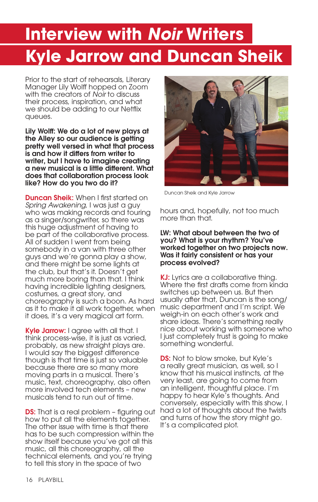# **Interview with** *Noir* **Writers Kyle Jarrow and Duncan Sheik**

Prior to the start of rehearsals, Literary Manager Lily Wolff hopped on Zoom with the creators of *Noir* to discuss their process, inspiration, and what we should be adding to our Netflix queues.

Lily Wolff: We do a lot of new plays at the Alley so our audience is getting pretty well versed in what that process is and how it differs from writer to writer, but I have to imagine creating a new musical is a little different. What does that collaboration process look like? How do you two do it?

**Duncan Sheik:** When I first started on *Spring Awakening*, I was just a guy who was making records and touring as a singer/songwriter, so there was this huge adjustment of having to be part of the collaborative process. All of sudden I went from being somebody in a van with three other guys and we're gonna play a show, and there might be some lights at the club, but that's it. Doesn't get much more boring than that. I think having incredible lighting designers, costumes, a great story, and choreography is such a boon. As hard as it to make it all work together, when it does, it's a very magical art form.

Kyle Jarrow: I agree with all that. I think process-wise, it is just as varied, probably, as new straight plays are. I would say the biggest difference though is that time is just so valuable because there are so many more moving parts in a musical. There's music, text, choreography, also often more involved tech elements – new musicals tend to run out of time.

**DS:** That is a real problem - figuring out how to put all the elements together. The other issue with time is that there has to be such compression within the show itself because you've got all this music, all this choreography, all the technical elements, and you're trying to tell this story in the space of two



Duncan Sheik and Kyle Jarrow

hours and, hopefully, not too much more than that.

### LW: What about between the two of you? What is your rhythm? You've worked together on two projects now. Was it fairly consistent or has your process evolved?

KJ: Lyrics are a collaborative thing. Where the first drafts come from kinda switches up between us. But then usually after that, Duncan is the song/ music department and I'm script. We weigh-in on each other's work and share ideas. There's something really nice about working with someone who I just completely trust is going to make something wonderful.

**DS:** Not to blow smoke, but Kyle's a really great musician, as well, so I know that his musical instincts, at the very least, are going to come from an intelligent, thoughtful place. I'm happy to hear Kyle's thoughts. And conversely, especially with this show, I had a lot of thoughts about the twists and turns of how the story might go. It's a complicated plot.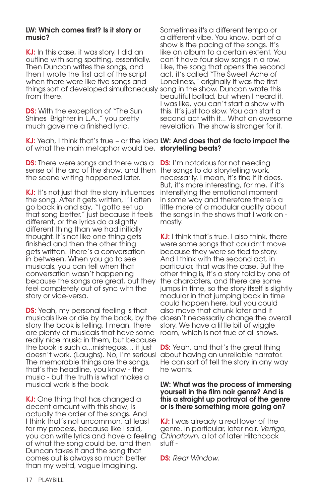### LW: Which comes first? Is it story or music?

KJ: In this case, it was story. I did an outline with song spotting, essentially. Then Duncan writes the songs, and then I wrote the first act of the script when there were like five songs and things sort of developed simultaneously song in the show. Duncan wrote this from there.

**DS:** With the exception of "The Sun Shines Brighter in L.A.," you pretty much gave me a finished lyric.

KJ: Yeah, I think that's true - or the idea LW: And does that de facto impact the of what the main metaphor would be. storytelling beats?

**DS:** There were songs and there was a sense of the arc of the show, and then the songs to do storytelling work, the scene writing happened later.

KJ: It's not just that the story influences the song. After it gets written, I'll often go back in and say, "I gotta set up that song better," just because it feels different, or the lyrics do a slightly different thing than we had initially thought. It's not like one thing gets finished and then the other thing gets written. There's a conversation in between. When you go to see musicals, you can tell when that conversation wasn't happening because the songs are great, but they feel completely out of sync with the story or vice-versa.

**DS:** Yeah, my personal feeling is that story the book is telling. I mean, there are plenty of musicals that have some really nice music in them, but because the book is such a...mishegoss… it just doesn't work. (Laughs). No, I'm serious! The memorable things are the songs, that's the headline, you know - the music - but the truth is what makes a musical work is the book.

KJ: One thing that has changed a decent amount with this show, is actually the order of the songs. And I think that's not uncommon, at least for my process, because like I said, you can write lyrics and have a feeling of what the song could be, and then Duncan takes it and the song that comes out is always so much better than my weird, vague imagining.

Sometimes it's a different tempo or a different vibe. You know, part of a show is the pacing of the songs. It's like an album to a certain extent. You can't have four slow songs in a row. Like, the song that opens the second act, it's called "The Sweet Ache of Loneliness," originally it was the first beautiful ballad, but when I heard it, I was like, you can't start a show with this. It's just too slow. You can start a second act with it... What an awesome revelation. The show is stronger for it.

**DS:** I'm notorious for not needing necessarily. I mean, it's fine if it does. But, it's more interesting, for me, if it's intensifying the emotional moment in some way and therefore there's a little more of a modular quality about the songs in the shows that I work on mostly.

musicals live or die by the book, by the doesn't necessarily change the overall KJ: I think that's true. I also think, there were some songs that couldn't move because they were so tied to story. And I think with the second act, in particular, that was the case. But the other thing is, it's a story told by one of the characters, and there are some jumps in time, so the story itself is slightly modular in that jumping back in time could happen here, but you could also move that chunk later and it story. We have a little bit of wiggle room, which is not true of all shows.

> **DS:** Yeah, and that's the great thing about having an unreliable narrator. He can sort of tell the story in any way he wants.

### LW: What was the process of immersing yourself in the film noir genre? And is this a straight up portrayal of the genre or is there something more going on?

KJ: I was already a real lover of the genre. In particular, later noir. *Vertigo*, *Chinatown*, a lot of later Hitchcock stuff -

DS: *Rear Window*.